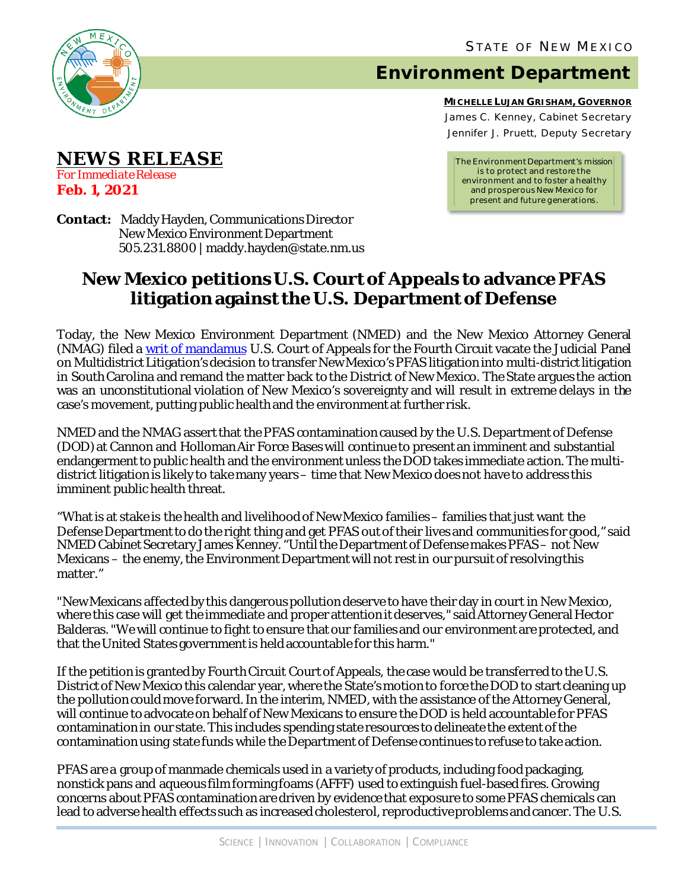

**NEWS RELEASE**

*For Immediate Release*

**Feb. 1, 2021**

## **Environment Department**

**MICHELLE LUJAN GRISHAM, GOVERNOR** James C. Kenney, Cabinet Secretary Jennifer J. Pruett, Deputy Secretary

*The Environment Department's mission is to protect and restore the environment and to foster a healthy and prosperous New Mexico for present and future generations.*

**Contact:** Maddy Hayden, Communications Director New Mexico Environment Department 505.231.8800 | maddy.hayden@state.nm.us

## **New Mexico petitions U.S. Court of Appeals to advance PFAS litigation against the U.S. Department of Defense**

Today, the New Mexico Environment Department (NMED) and the New Mexico Attorney General (NMAG) filed a [writ of mandamus](https://www.env.nm.gov/wp-content/uploads/2021/02/Writ-of-Mandamus-PFAS.pdf) U.S. Court of Appeals for the Fourth Circuit vacate the Judicial Panel on Multidistrict Litigation'sdecision to transfer New Mexico's PFAS litigation into multi-district litigation in South Carolina and remand the matter back to the District of New Mexico. The State argues the action was an unconstitutional violation of New Mexico's sovereignty and will result in extreme delays in the case's movement, putting public health and the environment at further risk.

NMED and the NMAG assert that the PFAS contamination caused by the U.S. Department of Defense (DOD) at Cannon and Holloman Air Force Bases will continue to present an imminent and substantial endangerment to public health and the environment unless the DOD takes immediate action. The multidistrict litigation is likely to take many years – time that New Mexico does not have to address this imminent public health threat.

"What is at stake is the health and livelihood of New Mexico families– families thatjust want the Defense Department to do the right thing and get PFAS out of their lives and communities for good," said NMED Cabinet Secretary James Kenney. "Until the Department of Defense makes PFAS – not New Mexicans – the enemy, the Environment Department will not rest in our pursuit of resolving this matter."

"New Mexicans affected by this dangerous pollution deserve to have their day in court in New Mexico, where this case will get the immediate and proper attention it deserves," said Attorney General Hector Balderas. "We will continue to fight to ensure that our families and our environment are protected, and that the United States government is held accountable for this harm."

If the petition is granted by Fourth Circuit Court of Appeals, the case would be transferred to the U.S. District of New Mexico this calendar year, where the State's motion to force the DOD to start cleaning up the pollution could move forward. In the interim, NMED, with the assistance of the Attorney General, will continue to advocate on behalf of New Mexicans to ensure the DOD is held accountable for PFAS contamination in our state. This includes spending state resources to delineate the extent of the contamination using state funds while the Department of Defense continues to refuse to take action.

PFAS are a group of manmade chemicals used in a variety of products, including food packaging, nonstick pans and aqueous film forming foams (AFFF) used to extinguish fuel-based fires. Growing concerns about PFAS contamination are driven by evidence that exposure to some PFAS chemicals can lead to adverse health effects such as increased cholesterol, reproductive problems and cancer. The U.S.